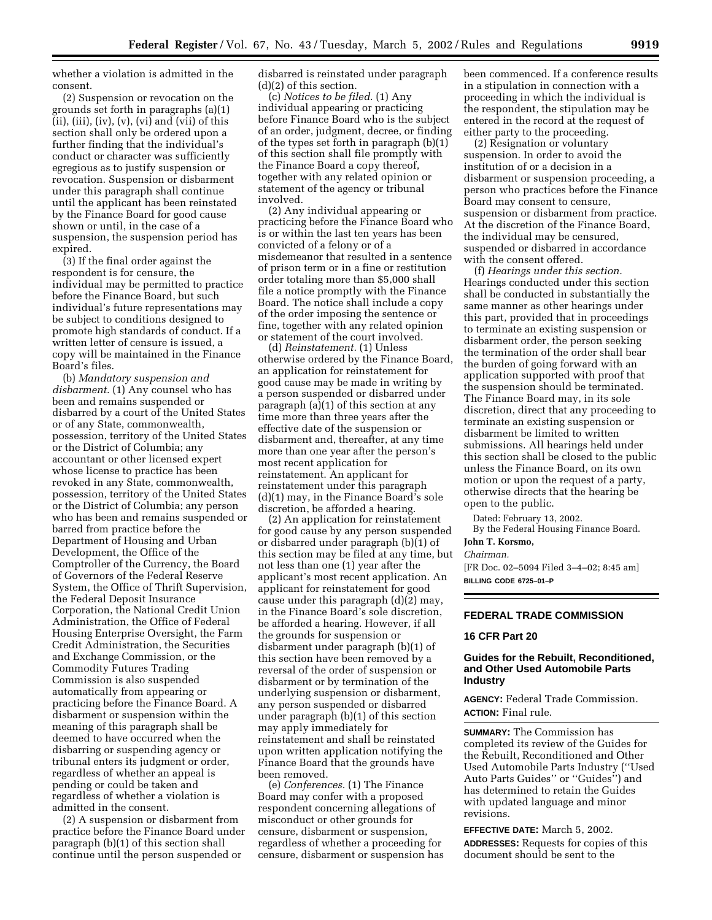whether a violation is admitted in the consent.

(2) Suspension or revocation on the grounds set forth in paragraphs (a)(1)  $(ii)$ ,  $(iii)$ ,  $(iv)$ ,  $(v)$ ,  $(vi)$  and  $(vii)$  of this section shall only be ordered upon a further finding that the individual's conduct or character was sufficiently egregious as to justify suspension or revocation. Suspension or disbarment under this paragraph shall continue until the applicant has been reinstated by the Finance Board for good cause shown or until, in the case of a suspension, the suspension period has expired.

(3) If the final order against the respondent is for censure, the individual may be permitted to practice before the Finance Board, but such individual's future representations may be subject to conditions designed to promote high standards of conduct. If a written letter of censure is issued, a copy will be maintained in the Finance Board's files.

(b) *Mandatory suspension and* disbarment. (1) Any counsel who has been and remains suspended or disbarred by a court of the United States or of any State, commonwealth, possession, territory of the United States or the District of Columbia; any accountant or other licensed expert whose license to practice has been revoked in any State, commonwealth, possession, territory of the United States or the District of Columbia; any person who has been and remains suspended or barred from practice before the Department of Housing and Urban Development, the Office of the Comptroller of the Currency, the Board of Governors of the Federal Reserve System, the Office of Thrift Supervision, the Federal Deposit Insurance Corporation, the National Credit Union Administration, the Office of Federal Housing Enterprise Oversight, the Farm Credit Administration, the Securities and Exchange Commission, or the Commodity Futures Trading Commission is also suspended automatically from appearing or practicing before the Finance Board. A disbarment or suspension within the meaning of this paragraph shall be deemed to have occurred when the disbarring or suspending agency or tribunal enters its judgment or order, regardless of whether an appeal is pending or could be taken and regardless of whether a violation is admitted in the consent.

(2) A suspension or disbarment from practice before the Finance Board under paragraph (b)(1) of this section shall continue until the person suspended or

disbarred is reinstated under paragraph (d)(2) of this section.

(c) *Notices to be filed.* (1) Any individual appearing or practicing before Finance Board who is the subject of an order, judgment, decree, or finding of the types set forth in paragraph (b)(1) of this section shall file promptly with the Finance Board a copy thereof, together with any related opinion or statement of the agency or tribunal involved.

(2) Any individual appearing or practicing before the Finance Board who is or within the last ten years has been convicted of a felony or of a misdemeanor that resulted in a sentence of prison term or in a fine or restitution order totaling more than \$5,000 shall file a notice promptly with the Finance Board. The notice shall include a copy of the order imposing the sentence or fine, together with any related opinion or statement of the court involved.

(d) *Reinstatement.* (1) Unless otherwise ordered by the Finance Board, an application for reinstatement for good cause may be made in writing by a person suspended or disbarred under paragraph (a)(1) of this section at any time more than three years after the effective date of the suspension or disbarment and, thereafter, at any time more than one year after the person's most recent application for reinstatement. An applicant for reinstatement under this paragraph (d)(1) may, in the Finance Board's sole discretion, be afforded a hearing.

(2) An application for reinstatement for good cause by any person suspended or disbarred under paragraph (b)(1) of this section may be filed at any time, but not less than one (1) year after the applicant's most recent application. An applicant for reinstatement for good cause under this paragraph (d)(2) may, in the Finance Board's sole discretion, be afforded a hearing. However, if all the grounds for suspension or disbarment under paragraph (b)(1) of this section have been removed by a reversal of the order of suspension or disbarment or by termination of the underlying suspension or disbarment, any person suspended or disbarred under paragraph (b)(1) of this section may apply immediately for reinstatement and shall be reinstated upon written application notifying the Finance Board that the grounds have been removed.

(e) *Conferences.* (1) The Finance Board may confer with a proposed respondent concerning allegations of misconduct or other grounds for censure, disbarment or suspension, regardless of whether a proceeding for censure, disbarment or suspension has

been commenced. If a conference results in a stipulation in connection with a proceeding in which the individual is the respondent, the stipulation may be entered in the record at the request of either party to the proceeding.

(2) Resignation or voluntary suspension. In order to avoid the institution of or a decision in a disbarment or suspension proceeding, a person who practices before the Finance Board may consent to censure, suspension or disbarment from practice. At the discretion of the Finance Board, the individual may be censured, suspended or disbarred in accordance with the consent offered.

(f) *Hearings under this section.* Hearings conducted under this section shall be conducted in substantially the same manner as other hearings under this part, provided that in proceedings to terminate an existing suspension or disbarment order, the person seeking the termination of the order shall bear the burden of going forward with an application supported with proof that the suspension should be terminated. The Finance Board may, in its sole discretion, direct that any proceeding to terminate an existing suspension or disbarment be limited to written submissions. All hearings held under this section shall be closed to the public unless the Finance Board, on its own motion or upon the request of a party, otherwise directs that the hearing be open to the public.

Dated: February 13, 2002.

By the Federal Housing Finance Board. **John T. Korsmo,**

*Chairman.*

[FR Doc. 02–5094 Filed 3–4–02; 8:45 am] **BILLING CODE 6725–01–P**

#### **FEDERAL TRADE COMMISSION**

### **16 CFR Part 20**

# **Guides for the Rebuilt, Reconditioned, and Other Used Automobile Parts Industry**

**AGENCY:** Federal Trade Commission. **ACTION:** Final rule.

**SUMMARY:** The Commission has completed its review of the Guides for the Rebuilt, Reconditioned and Other Used Automobile Parts Industry (''Used Auto Parts Guides'' or ''Guides'') and has determined to retain the Guides with updated language and minor revisions.

**EFFECTIVE DATE:** March 5, 2002. **ADDRESSES:** Requests for copies of this document should be sent to the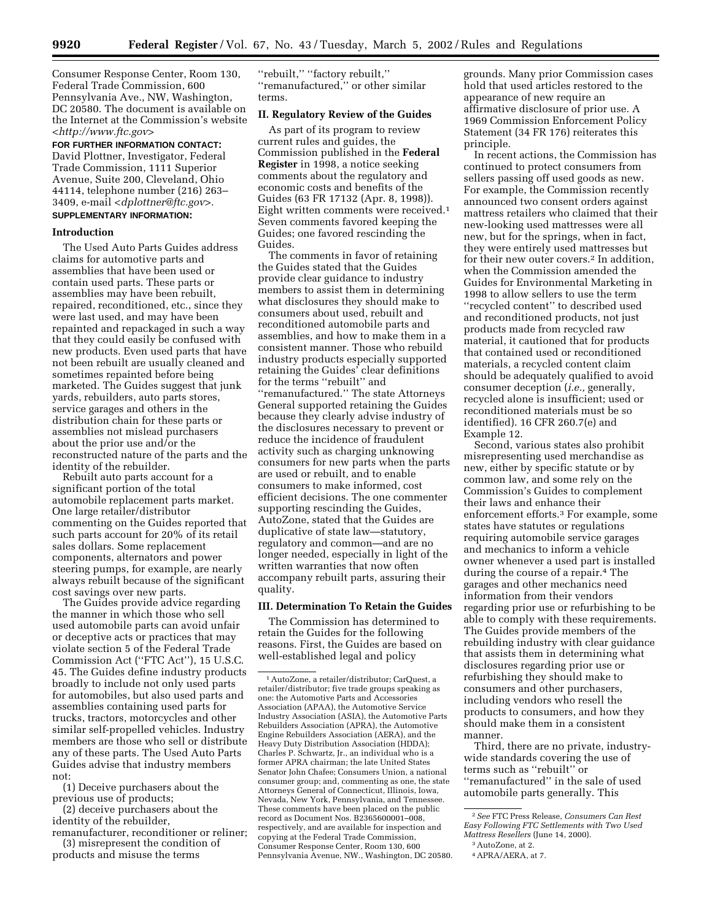Consumer Response Center, Room 130, Federal Trade Commission, 600 Pennsylvania Ave., NW, Washington, DC 20580. The document is available on the Internet at the Commission's website *<http://www.ftc.gov>*

**FOR FURTHER INFORMATION CONTACT:** David Plottner, Investigator, Federal Trade Commission, 1111 Superior Avenue, Suite 200, Cleveland, Ohio 44114, telephone number (216) 263– 3409, e-mail *<dplottner@ftc.gov>.* **SUPPLEMENTARY INFORMATION:**

### **Introduction**

The Used Auto Parts Guides address claims for automotive parts and assemblies that have been used or contain used parts. These parts or assemblies may have been rebuilt, repaired, reconditioned, etc., since they were last used, and may have been repainted and repackaged in such a way that they could easily be confused with new products. Even used parts that have not been rebuilt are usually cleaned and sometimes repainted before being marketed. The Guides suggest that junk yards, rebuilders, auto parts stores, service garages and others in the distribution chain for these parts or assemblies not mislead purchasers about the prior use and/or the reconstructed nature of the parts and the identity of the rebuilder.

Rebuilt auto parts account for a significant portion of the total automobile replacement parts market. One large retailer/distributor commenting on the Guides reported that such parts account for 20% of its retail sales dollars. Some replacement components, alternators and power steering pumps, for example, are nearly always rebuilt because of the significant cost savings over new parts.

The Guides provide advice regarding the manner in which those who sell used automobile parts can avoid unfair or deceptive acts or practices that may violate section 5 of the Federal Trade Commission Act (''FTC Act''), 15 U.S.C. 45. The Guides define industry products broadly to include not only used parts for automobiles, but also used parts and assemblies containing used parts for trucks, tractors, motorcycles and other similar self-propelled vehicles. Industry members are those who sell or distribute any of these parts. The Used Auto Parts Guides advise that industry members not:

(1) Deceive purchasers about the previous use of products;

(2) deceive purchasers about the identity of the rebuilder,

remanufacturer, reconditioner or reliner; (3) misrepresent the condition of

products and misuse the terms

''rebuilt,'' ''factory rebuilt,'' ''remanufactured,'' or other similar terms.

### **II. Regulatory Review of the Guides**

As part of its program to review current rules and guides, the Commission published in the **Federal Register** in 1998, a notice seeking comments about the regulatory and economic costs and benefits of the Guides (63 FR 17132 (Apr. 8, 1998)). Eight written comments were received.1 Seven comments favored keeping the Guides; one favored rescinding the Guides.

The comments in favor of retaining the Guides stated that the Guides provide clear guidance to industry members to assist them in determining what disclosures they should make to consumers about used, rebuilt and reconditioned automobile parts and assemblies, and how to make them in a consistent manner. Those who rebuild industry products especially supported retaining the Guides' clear definitions for the terms ''rebuilt'' and ''remanufactured.'' The state Attorneys General supported retaining the Guides because they clearly advise industry of the disclosures necessary to prevent or reduce the incidence of fraudulent activity such as charging unknowing consumers for new parts when the parts are used or rebuilt, and to enable consumers to make informed, cost efficient decisions. The one commenter supporting rescinding the Guides, AutoZone, stated that the Guides are duplicative of state law—statutory, regulatory and common—and are no longer needed, especially in light of the written warranties that now often accompany rebuilt parts, assuring their quality.

## **III. Determination To Retain the Guides**

The Commission has determined to retain the Guides for the following reasons. First, the Guides are based on well-established legal and policy

grounds. Many prior Commission cases hold that used articles restored to the appearance of new require an affirmative disclosure of prior use. A 1969 Commission Enforcement Policy Statement (34 FR 176) reiterates this principle.

In recent actions, the Commission has continued to protect consumers from sellers passing off used goods as new. For example, the Commission recently announced two consent orders against mattress retailers who claimed that their new-looking used mattresses were all new, but for the springs, when in fact, they were entirely used mattresses but for their new outer covers.2 In addition, when the Commission amended the Guides for Environmental Marketing in 1998 to allow sellers to use the term ''recycled content'' to described used and reconditioned products, not just products made from recycled raw material, it cautioned that for products that contained used or reconditioned materials, a recycled content claim should be adequately qualified to avoid consumer deception (*i.e.,* generally, recycled alone is insufficient; used or reconditioned materials must be so identified). 16 CFR 260.7(e) and Example 12.

Second, various states also prohibit misrepresenting used merchandise as new, either by specific statute or by common law, and some rely on the Commission's Guides to complement their laws and enhance their enforcement efforts.3 For example, some states have statutes or regulations requiring automobile service garages and mechanics to inform a vehicle owner whenever a used part is installed during the course of a repair.<sup>4</sup> The garages and other mechanics need information from their vendors regarding prior use or refurbishing to be able to comply with these requirements. The Guides provide members of the rebuilding industry with clear guidance that assists them in determining what disclosures regarding prior use or refurbishing they should make to consumers and other purchasers, including vendors who resell the products to consumers, and how they should make them in a consistent manner.

Third, there are no private, industrywide standards covering the use of terms such as ''rebuilt'' or ''remanufactured'' in the sale of used automobile parts generally. This

<sup>1</sup>AutoZone, a retailer/distributor; CarQuest, a retailer/distributor; five trade groups speaking as one: the Automotive Parts and Accessories Association (APAA), the Automotive Service Industry Association (ASIA), the Automotive Parts Rebuilders Association (APRA), the Automotive Engine Rebuilders Association (AERA), and the Heavy Duty Distribution Association (HDDA); Charles P. Schwartz, Jr., an individual who is a former APRA chairman; the late United States Senator John Chafee; Consumers Union, a national consumer group; and, commenting as one, the state Attorneys General of Connecticut, Illinois, Iowa, Nevada, New York, Pennsylvania, and Tennessee. These comments have been placed on the public record as Document Nos. B2365600001–008, respectively, and are available for inspection and copying at the Federal Trade Commission, Consumer Response Center, Room 130, 600 Pennsylvania Avenue, NW., Washington, DC 20580.

<sup>2</sup>*See* FTC Press Release, *Consumers Can Rest Easy Following FTC Settlements with Two Used Mattress Resellers* (June 14, 2000).

<sup>3</sup>AutoZone, at 2.

<sup>4</sup>APRA/AERA, at 7.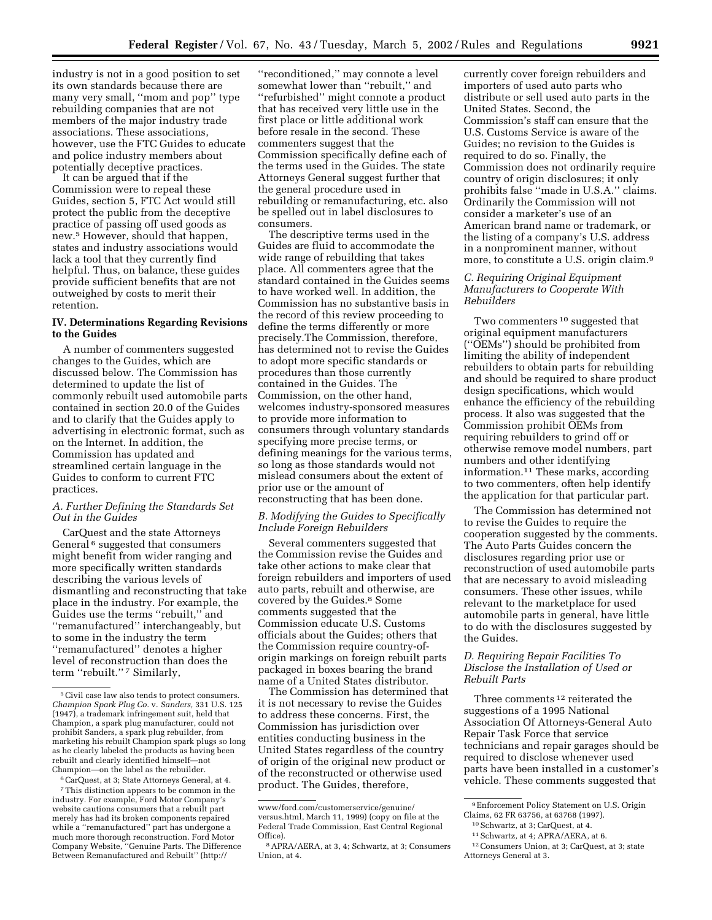industry is not in a good position to set its own standards because there are many very small, ''mom and pop'' type rebuilding companies that are not members of the major industry trade associations. These associations, however, use the FTC Guides to educate and police industry members about potentially deceptive practices.

It can be argued that if the Commission were to repeal these Guides, section 5, FTC Act would still protect the public from the deceptive practice of passing off used goods as new.5 However, should that happen, states and industry associations would lack a tool that they currently find helpful. Thus, on balance, these guides provide sufficient benefits that are not outweighed by costs to merit their retention.

# **IV. Determinations Regarding Revisions to the Guides**

A number of commenters suggested changes to the Guides, which are discussed below. The Commission has determined to update the list of commonly rebuilt used automobile parts contained in section 20.0 of the Guides and to clarify that the Guides apply to advertising in electronic format, such as on the Internet. In addition, the Commission has updated and streamlined certain language in the Guides to conform to current FTC practices.

# *A. Further Defining the Standards Set Out in the Guides*

CarQuest and the state Attorneys General 6 suggested that consumers might benefit from wider ranging and more specifically written standards describing the various levels of dismantling and reconstructing that take place in the industry. For example, the Guides use the terms ''rebuilt,'' and ''remanufactured'' interchangeably, but to some in the industry the term ''remanufactured'' denotes a higher level of reconstruction than does the term "rebuilt."<sup>7</sup> Similarly,

''reconditioned,'' may connote a level somewhat lower than ''rebuilt,'' and ''refurbished'' might connote a product that has received very little use in the first place or little additional work before resale in the second. These commenters suggest that the Commission specifically define each of the terms used in the Guides. The state Attorneys General suggest further that the general procedure used in rebuilding or remanufacturing, etc. also be spelled out in label disclosures to consumers.

The descriptive terms used in the Guides are fluid to accommodate the wide range of rebuilding that takes place. All commenters agree that the standard contained in the Guides seems to have worked well. In addition, the Commission has no substantive basis in the record of this review proceeding to define the terms differently or more precisely.The Commission, therefore, has determined not to revise the Guides to adopt more specific standards or procedures than those currently contained in the Guides. The Commission, on the other hand, welcomes industry-sponsored measures to provide more information to consumers through voluntary standards specifying more precise terms, or defining meanings for the various terms, so long as those standards would not mislead consumers about the extent of prior use or the amount of reconstructing that has been done.

# *B. Modifying the Guides to Specifically Include Foreign Rebuilders*

Several commenters suggested that the Commission revise the Guides and take other actions to make clear that foreign rebuilders and importers of used auto parts, rebuilt and otherwise, are covered by the Guides.<sup>8</sup> Some comments suggested that the Commission educate U.S. Customs officials about the Guides; others that the Commission require country-oforigin markings on foreign rebuilt parts packaged in boxes bearing the brand name of a United States distributor.

The Commission has determined that it is not necessary to revise the Guides to address these concerns. First, the Commission has jurisdiction over entities conducting business in the United States regardless of the country of origin of the original new product or of the reconstructed or otherwise used product. The Guides, therefore,

currently cover foreign rebuilders and importers of used auto parts who distribute or sell used auto parts in the United States. Second, the Commission's staff can ensure that the U.S. Customs Service is aware of the Guides; no revision to the Guides is required to do so. Finally, the Commission does not ordinarily require country of origin disclosures; it only prohibits false ''made in U.S.A.'' claims. Ordinarily the Commission will not consider a marketer's use of an American brand name or trademark, or the listing of a company's U.S. address in a nonprominent manner, without more, to constitute a U.S. origin claim.9

# *C. Requiring Original Equipment Manufacturers to Cooperate With Rebuilders*

Two commenters 10 suggested that original equipment manufacturers (''OEMs'') should be prohibited from limiting the ability of independent rebuilders to obtain parts for rebuilding and should be required to share product design specifications, which would enhance the efficiency of the rebuilding process. It also was suggested that the Commission prohibit OEMs from requiring rebuilders to grind off or otherwise remove model numbers, part numbers and other identifying information.11 These marks, according to two commenters, often help identify the application for that particular part.

The Commission has determined not to revise the Guides to require the cooperation suggested by the comments. The Auto Parts Guides concern the disclosures regarding prior use or reconstruction of used automobile parts that are necessary to avoid misleading consumers. These other issues, while relevant to the marketplace for used automobile parts in general, have little to do with the disclosures suggested by the Guides.

# *D. Requiring Repair Facilities To Disclose the Installation of Used or Rebuilt Parts*

Three comments 12 reiterated the suggestions of a 1995 National Association Of Attorneys-General Auto Repair Task Force that service technicians and repair garages should be required to disclose whenever used parts have been installed in a customer's vehicle. These comments suggested that

<sup>5</sup>Civil case law also tends to protect consumers. *Champion Spark Plug Co.* v. *Sanders,* 331 U.S. 125 (1947), a trademark infringement suit, held that Champion, a spark plug manufacturer, could not prohibit Sanders, a spark plug rebuilder, from marketing his rebuilt Champion spark plugs so long as he clearly labeled the products as having been rebuilt and clearly identified himself—not Champion—on the label as the rebuilder.

<sup>6</sup>CarQuest, at 3; State Attorneys General, at 4. 7This distinction appears to be common in the industry. For example, Ford Motor Company's website cautions consumers that a rebuilt part merely has had its broken components repaired while a ''remanufactured'' part has undergone a much more thorough reconstruction. Ford Motor Company Website, ''Genuine Parts. The Difference Between Remanufactured and Rebuilt'' (http://

www/ford.com/customerservice/genuine/ versus.html, March 11, 1999) (copy on file at the Federal Trade Commission, East Central Regional Office).

<sup>8</sup>APRA/AERA, at 3, 4; Schwartz, at 3; Consumers Union, at 4.

<sup>9</sup>Enforcement Policy Statement on U.S. Origin Claims, 62 FR 63756, at 63768 (1997).

<sup>10</sup>Schwartz, at 3; CarQuest, at 4.

<sup>11</sup>Schwartz, at 4; APRA/AERA, at 6.

<sup>12</sup>Consumers Union, at 3; CarQuest, at 3; state Attorneys General at 3.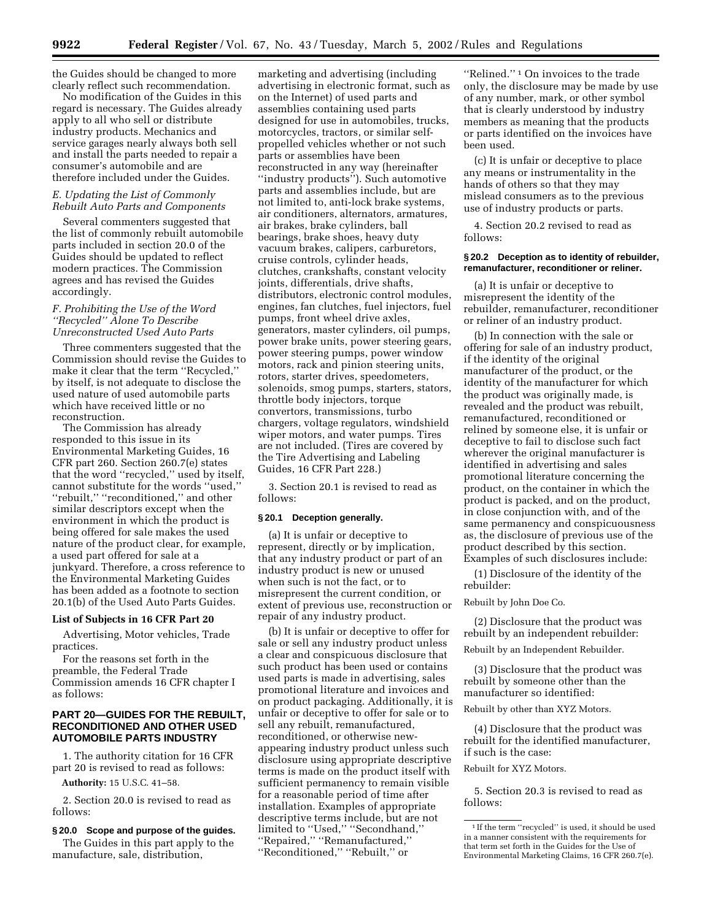the Guides should be changed to more clearly reflect such recommendation.

No modification of the Guides in this regard is necessary. The Guides already apply to all who sell or distribute industry products. Mechanics and service garages nearly always both sell and install the parts needed to repair a consumer's automobile and are therefore included under the Guides.

### *E. Updating the List of Commonly Rebuilt Auto Parts and Components*

Several commenters suggested that the list of commonly rebuilt automobile parts included in section 20.0 of the Guides should be updated to reflect modern practices. The Commission agrees and has revised the Guides accordingly.

## *F. Prohibiting the Use of the Word ''Recycled'' Alone To Describe Unreconstructed Used Auto Parts*

Three commenters suggested that the Commission should revise the Guides to make it clear that the term ''Recycled,'' by itself, is not adequate to disclose the used nature of used automobile parts which have received little or no reconstruction.

The Commission has already responded to this issue in its Environmental Marketing Guides, 16 CFR part 260. Section 260.7(e) states that the word ''recycled,'' used by itself, cannot substitute for the words ''used,'' ''rebuilt,'' ''reconditioned,'' and other similar descriptors except when the environment in which the product is being offered for sale makes the used nature of the product clear, for example, a used part offered for sale at a junkyard. Therefore, a cross reference to the Environmental Marketing Guides has been added as a footnote to section 20.1(b) of the Used Auto Parts Guides.

### **List of Subjects in 16 CFR Part 20**

Advertising, Motor vehicles, Trade practices.

For the reasons set forth in the preamble, the Federal Trade Commission amends 16 CFR chapter I as follows:

# **PART 20—GUIDES FOR THE REBUILT, RECONDITIONED AND OTHER USED AUTOMOBILE PARTS INDUSTRY**

1. The authority citation for 16 CFR part 20 is revised to read as follows:

**Authority:** 15 U.S.C. 41–58.

2. Section 20.0 is revised to read as follows:

# **§ 20.0 Scope and purpose of the guides.**

The Guides in this part apply to the manufacture, sale, distribution,

marketing and advertising (including advertising in electronic format, such as on the Internet) of used parts and assemblies containing used parts designed for use in automobiles, trucks, motorcycles, tractors, or similar selfpropelled vehicles whether or not such parts or assemblies have been reconstructed in any way (hereinafter ''industry products''). Such automotive parts and assemblies include, but are not limited to, anti-lock brake systems, air conditioners, alternators, armatures, air brakes, brake cylinders, ball bearings, brake shoes, heavy duty vacuum brakes, calipers, carburetors, cruise controls, cylinder heads, clutches, crankshafts, constant velocity joints, differentials, drive shafts, distributors, electronic control modules, engines, fan clutches, fuel injectors, fuel pumps, front wheel drive axles, generators, master cylinders, oil pumps, power brake units, power steering gears, power steering pumps, power window motors, rack and pinion steering units, rotors, starter drives, speedometers, solenoids, smog pumps, starters, stators, throttle body injectors, torque convertors, transmissions, turbo chargers, voltage regulators, windshield wiper motors, and water pumps. Tires are not included. (Tires are covered by the Tire Advertising and Labeling Guides, 16 CFR Part 228.)

3. Section 20.1 is revised to read as follows:

### **§ 20.1 Deception generally.**

(a) It is unfair or deceptive to represent, directly or by implication, that any industry product or part of an industry product is new or unused when such is not the fact, or to misrepresent the current condition, or extent of previous use, reconstruction or repair of any industry product.

(b) It is unfair or deceptive to offer for sale or sell any industry product unless a clear and conspicuous disclosure that such product has been used or contains used parts is made in advertising, sales promotional literature and invoices and on product packaging. Additionally, it is unfair or deceptive to offer for sale or to sell any rebuilt, remanufactured, reconditioned, or otherwise newappearing industry product unless such disclosure using appropriate descriptive terms is made on the product itself with sufficient permanency to remain visible for a reasonable period of time after installation. Examples of appropriate descriptive terms include, but are not limited to "Used," "Secondhand," ''Repaired,'' ''Remanufactured,'' ''Reconditioned,'' ''Rebuilt,'' or

''Relined.'' 1 On invoices to the trade only, the disclosure may be made by use of any number, mark, or other symbol that is clearly understood by industry members as meaning that the products or parts identified on the invoices have been used.

(c) It is unfair or deceptive to place any means or instrumentality in the hands of others so that they may mislead consumers as to the previous use of industry products or parts.

4. Section 20.2 revised to read as follows:

### **§ 20.2 Deception as to identity of rebuilder, remanufacturer, reconditioner or reliner.**

(a) It is unfair or deceptive to misrepresent the identity of the rebuilder, remanufacturer, reconditioner or reliner of an industry product.

(b) In connection with the sale or offering for sale of an industry product, if the identity of the original manufacturer of the product, or the identity of the manufacturer for which the product was originally made, is revealed and the product was rebuilt, remanufactured, reconditioned or relined by someone else, it is unfair or deceptive to fail to disclose such fact wherever the original manufacturer is identified in advertising and sales promotional literature concerning the product, on the container in which the product is packed, and on the product, in close conjunction with, and of the same permanency and conspicuousness as, the disclosure of previous use of the product described by this section. Examples of such disclosures include:

(1) Disclosure of the identity of the rebuilder:

#### Rebuilt by John Doe Co.

(2) Disclosure that the product was rebuilt by an independent rebuilder:

Rebuilt by an Independent Rebuilder.

(3) Disclosure that the product was rebuilt by someone other than the manufacturer so identified:

Rebuilt by other than XYZ Motors.

(4) Disclosure that the product was rebuilt for the identified manufacturer, if such is the case:

Rebuilt for XYZ Motors.

5. Section 20.3 is revised to read as follows:

<sup>1</sup> If the term ''recycled'' is used, it should be used in a manner consistent with the requirements for that term set forth in the Guides for the Use of Environmental Marketing Claims, 16 CFR 260.7(e).